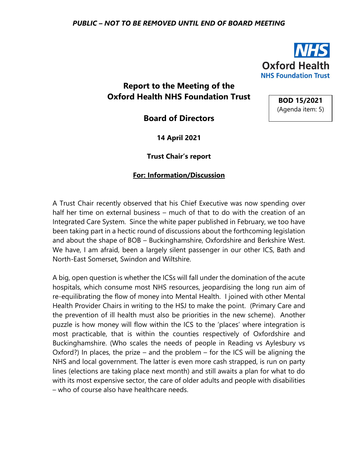

**BOD 15/2021** (Agenda item: 5)

## **Report to the Meeting of the Oxford Health NHS Foundation Trust**

**Board of Directors**

**14 April 2021**

**Trust Chair's report**

## **For: Information/Discussion**

A Trust Chair recently observed that his Chief Executive was now spending over half her time on external business – much of that to do with the creation of an Integrated Care System. Since the white paper published in February, we too have been taking part in a hectic round of discussions about the forthcoming legislation and about the shape of BOB – Buckinghamshire, Oxfordshire and Berkshire West. We have, I am afraid, been a largely silent passenger in our other ICS, Bath and North-East Somerset, Swindon and Wiltshire.

A big, open question is whether the ICSs will fall under the domination of the acute hospitals, which consume most NHS resources, jeopardising the long run aim of re-equilibrating the flow of money into Mental Health. I joined with other Mental Health Provider Chairs in writing to the HSJ to make the point. (Primary Care and the prevention of ill health must also be priorities in the new scheme). Another puzzle is how money will flow within the ICS to the 'places' where integration is most practicable, that is within the counties respectively of Oxfordshire and Buckinghamshire. (Who scales the needs of people in Reading vs Aylesbury vs Oxford?) In places, the prize – and the problem – for the ICS will be aligning the NHS and local government. The latter is even more cash strapped, is run on party lines (elections are taking place next month) and still awaits a plan for what to do with its most expensive sector, the care of older adults and people with disabilities – who of course also have healthcare needs.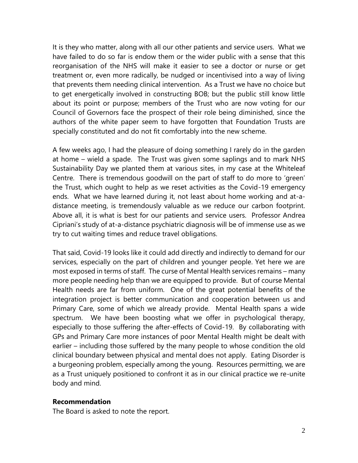It is they who matter, along with all our other patients and service users. What we have failed to do so far is endow them or the wider public with a sense that this reorganisation of the NHS will make it easier to see a doctor or nurse or get treatment or, even more radically, be nudged or incentivised into a way of living that prevents them needing clinical intervention. As a Trust we have no choice but to get energetically involved in constructing BOB; but the public still know little about its point or purpose; members of the Trust who are now voting for our Council of Governors face the prospect of their role being diminished, since the authors of the white paper seem to have forgotten that Foundation Trusts are specially constituted and do not fit comfortably into the new scheme.

A few weeks ago, I had the pleasure of doing something I rarely do in the garden at home – wield a spade. The Trust was given some saplings and to mark NHS Sustainability Day we planted them at various sites, in my case at the Whiteleaf Centre. There is tremendous goodwill on the part of staff to do more to 'green' the Trust, which ought to help as we reset activities as the Covid-19 emergency ends. What we have learned during it, not least about home working and at-adistance meeting, is tremendously valuable as we reduce our carbon footprint. Above all, it is what is best for our patients and service users. Professor Andrea Cipriani's study of at-a-distance psychiatric diagnosis will be of immense use as we try to cut waiting times and reduce travel obligations.

That said, Covid-19 looks like it could add directly and indirectly to demand for our services, especially on the part of children and younger people. Yet here we are most exposed in terms of staff. The curse of Mental Health services remains – many more people needing help than we are equipped to provide. But of course Mental Health needs are far from uniform. One of the great potential benefits of the integration project is better communication and cooperation between us and Primary Care, some of which we already provide. Mental Health spans a wide spectrum. We have been boosting what we offer in psychological therapy, especially to those suffering the after-effects of Covid-19. By collaborating with GPs and Primary Care more instances of poor Mental Health might be dealt with earlier – including those suffered by the many people to whose condition the old clinical boundary between physical and mental does not apply. Eating Disorder is a burgeoning problem, especially among the young. Resources permitting, we are as a Trust uniquely positioned to confront it as in our clinical practice we re-unite body and mind.

## **Recommendation**

The Board is asked to note the report.